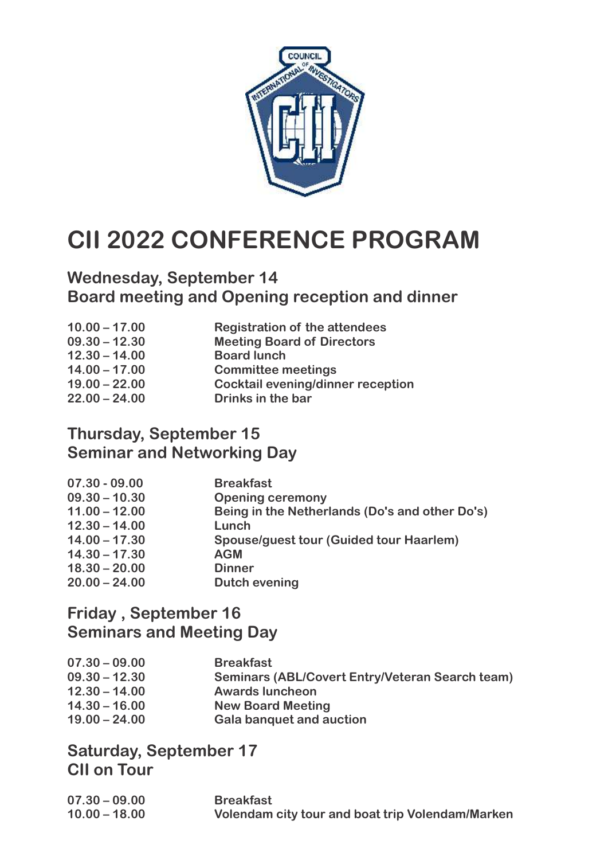

# **CII 2022 CONFERENCE PROGRAM**

### **Wednesday, September 14 Board meeting and Opening reception and dinner**

| <b>Meeting Board of Directors</b><br>$09.30 - 12.30$<br>$12.30 - 14.00$<br><b>Board lunch</b><br>$14.00 - 17.00$<br><b>Committee meetings</b> | $10.00 - 17.00$ | <b>Registration of the attendees</b>     |
|-----------------------------------------------------------------------------------------------------------------------------------------------|-----------------|------------------------------------------|
|                                                                                                                                               |                 |                                          |
|                                                                                                                                               |                 |                                          |
|                                                                                                                                               |                 |                                          |
|                                                                                                                                               | $19.00 - 22.00$ | <b>Cocktail evening/dinner reception</b> |
| $22.00 - 24.00$<br>Drinks in the bar                                                                                                          |                 |                                          |

### **Thursday, September 15 Seminar and Networking Day**

| $07.30 - 09.00$ | <b>Breakfast</b>                               |
|-----------------|------------------------------------------------|
| $09.30 - 10.30$ | <b>Opening ceremony</b>                        |
| $11.00 - 12.00$ | Being in the Netherlands (Do's and other Do's) |
| $12.30 - 14.00$ | Lunch                                          |
| $14.00 - 17.30$ | <b>Spouse/guest tour (Guided tour Haarlem)</b> |
| $14.30 - 17.30$ | <b>AGM</b>                                     |
| $18.30 - 20.00$ | <b>Dinner</b>                                  |
| $20.00 - 24.00$ | <b>Dutch evening</b>                           |

### **Friday , September 16 Seminars and Meeting Day**

| $07.30 - 09.00$ | <b>Breakfast</b>                                |
|-----------------|-------------------------------------------------|
|                 |                                                 |
| $09.30 - 12.30$ | Seminars (ABL/Covert Entry/Veteran Search team) |
| $12.30 - 14.00$ | <b>Awards luncheon</b>                          |
| $14.30 - 16.00$ | <b>New Board Meeting</b>                        |
| $19.00 - 24.00$ | <b>Gala banquet and auction</b>                 |

#### **Saturday, September 17 CII on Tour**

| $07.30 - 09.00$ | <b>Breakfast</b>                                 |
|-----------------|--------------------------------------------------|
| $10.00 - 18.00$ | Volendam city tour and boat trip Volendam/Marken |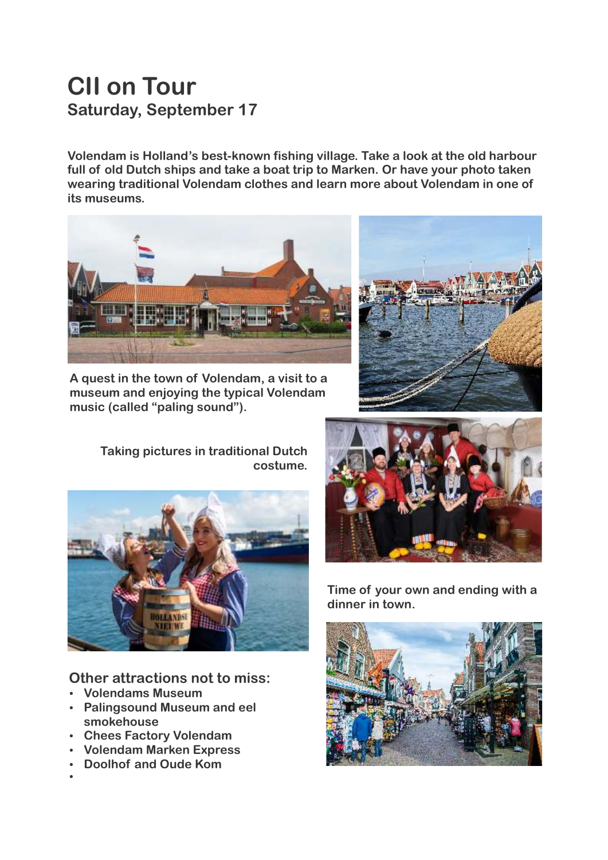# **CII on Tour Saturday, September 17**

**Volendam is Holland's best-known fishing village. Take a look at the old harbour full of old Dutch ships and take a boat trip to Marken. Or have your photo taken wearing traditional Volendam clothes and learn more about Volendam in one of its museums.**



**A quest in the town of Volendam, a visit to a museum and enjoying the typical Volendam music (called "paling sound").**



**Taking pictures in traditional Dutch costume.**



**Other attractions not to miss:**

- **Volendams Museum**
- **Palingsound Museum and eel smokehouse**
- **Chees Factory Volendam**
- **Volendam Marken Express**
- **Doolhof and Oude Kom**
- $\bullet$



**Time of your own and ending with a dinner in town.** 

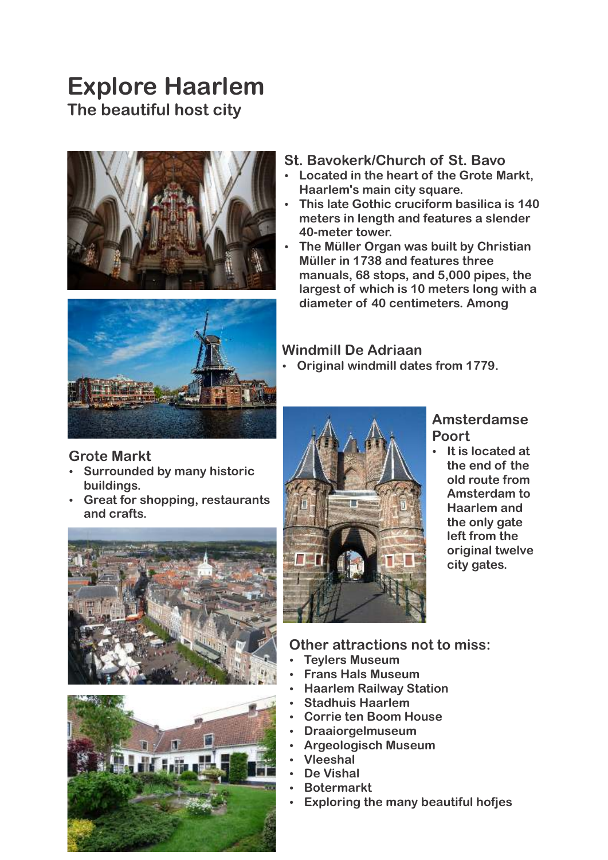## **Explore Haarlem The beautiful host city**



#### **St. Bavokerk/Church of St. Bavo**

- **EXECT:** Located in the heart of the Grote Markt, **Haarlem's main city square.**
- **This late Gothic cruciform basilica is 140 meters in length and features a slender 40-meter tower.**
- **The Müller Organ was built by Christian Müller in 1738 and features three manuals, 68 stops, and 5,000 pipes, the largest of which is 10 meters long with a diameter of 40 centimeters. Among**



#### **Windmill De Adriaan**

**• Original windmill dates from 1779.** 

#### **Grote Markt**

- **Surrounded by many historic buildings.**
- **Great for shopping, restaurants and crafts.**







#### **Amsterdamse Poort**

**•** It is located at **the end of the old route from Amsterdam to Haarlem and the only gate left from the original twelve city gates.**

#### **Other attractions not to miss:**

- **Teylers Museum**
- **Frans Hals Museum**
- **Haarlem Railway Station**
- **Stadhuis Haarlem**
- **Corrie ten Boom House**
- **Draaiorgelmuseum**
- **Argeologisch Museum**
- Ÿ **Vleeshal**
- De Vishal
- **Botermarkt**
- **Exploring the many beautiful hofjes**